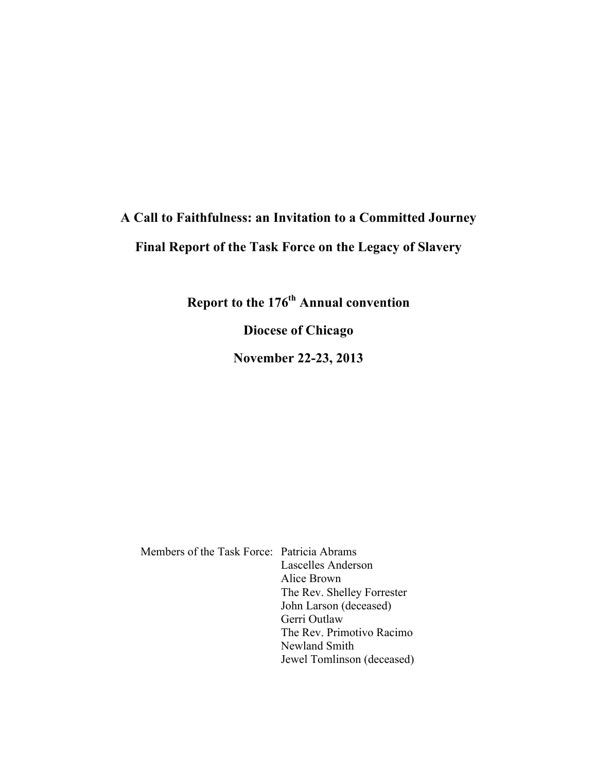# **A Call to Faithfulness: an Invitation to a Committed Journey Final Report of the Task Force on the Legacy of Slavery**

**Report to the 176th Annual convention**

**Diocese of Chicago**

**November 22-23, 2013**

Members of the Task Force: Patricia Abrams Lascelles Anderson Alice Brown The Rev. Shelley Forrester John Larson (deceased) Gerri Outlaw The Rev. Primotivo Racimo Newland Smith Jewel Tomlinson (deceased)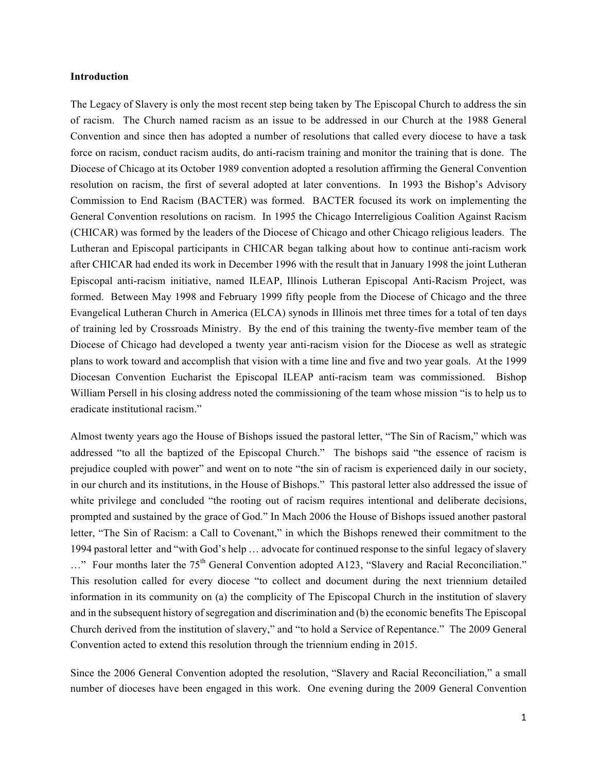### **Introduction**

The Legacy of Slavery is only the most recent step being taken by The Episcopal Church to address the sin of racism. The Church named racism as an issue to be addressed in our Church at the 1988 General Convention and since then has adopted a number of resolutions that called every diocese to have a task force on racism, conduct racism audits, do anti-racism training and monitor the training that is done. The Diocese of Chicago at its October 1989 convention adopted a resolution affirming the General Convention resolution on racism, the first of several adopted at later conventions. In 1993 the Bishop's Advisory Commission to End Racism (BACTER) was formed. BACTER focused its work on implementing the General Convention resolutions on racism. In 1995 the Chicago Interreligious Coalition Against Racism (CHICAR) was formed by the leaders of the Diocese of Chicago and other Chicago religious leaders. The Lutheran and Episcopal participants in CHICAR began talking about how to continue anti-racism work after CHICAR had ended its work in December 1996 with the result that in January 1998 the joint Lutheran Episcopal anti-racism initiative, named ILEAP, Illinois Lutheran Episcopal Anti-Racism Project, was formed. Between May 1998 and February 1999 fifty people from the Diocese of Chicago and the three Evangelical Lutheran Church in America (ELCA) synods in Illinois met three times for a total of ten days of training led by Crossroads Ministry. By the end of this training the twenty-five member team of the Diocese of Chicago had developed a twenty year anti-racism vision for the Diocese as well as strategic plans to work toward and accomplish that vision with a time line and five and two year goals. At the 1999 Diocesan Convention Eucharist the Episcopal ILEAP anti-racism team was commissioned. Bishop William Persell in his closing address noted the commissioning of the team whose mission "is to help us to eradicate institutional racism."

Almost twenty years ago the House of Bishops issued the pastoral letter, "The Sin of Racism," which was addressed "to all the baptized of the Episcopal Church." The bishops said "the essence of racism is prejudice coupled with power" and went on to note "the sin of racism is experienced daily in our society, in our church and its institutions, in the House of Bishops." This pastoral letter also addressed the issue of white privilege and concluded "the rooting out of racism requires intentional and deliberate decisions, prompted and sustained by the grace of God." In Mach 2006 the House of Bishops issued another pastoral letter, "The Sin of Racism: a Call to Covenant," in which the Bishops renewed their commitment to the 1994 pastoral letter and "with God's help … advocate for continued response to the sinful legacy of slavery ..." Four months later the 75<sup>th</sup> General Convention adopted A123, "Slavery and Racial Reconciliation." This resolution called for every diocese "to collect and document during the next triennium detailed information in its community on (a) the complicity of The Episcopal Church in the institution of slavery and in the subsequent history of segregation and discrimination and (b) the economic benefits The Episcopal Church derived from the institution of slavery," and "to hold a Service of Repentance." The 2009 General Convention acted to extend this resolution through the triennium ending in 2015.

Since the 2006 General Convention adopted the resolution, "Slavery and Racial Reconciliation," a small number of dioceses have been engaged in this work. One evening during the 2009 General Convention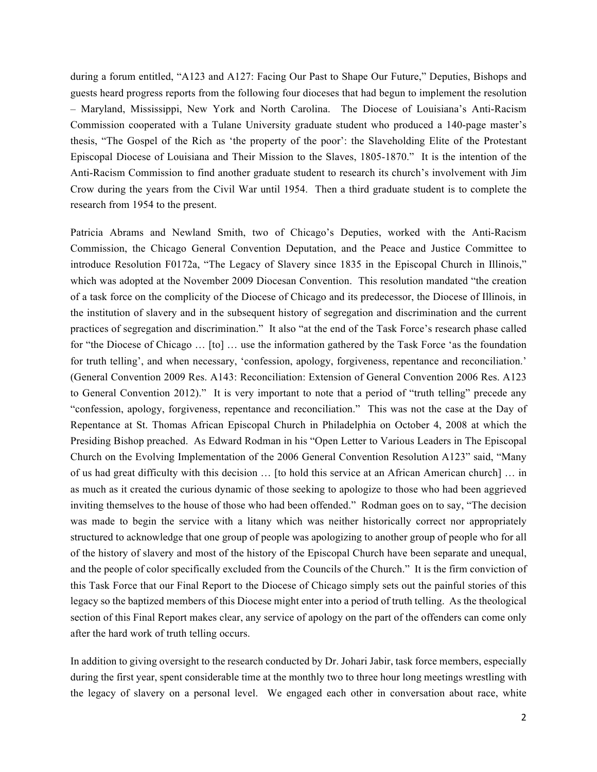during a forum entitled, "A123 and A127: Facing Our Past to Shape Our Future," Deputies, Bishops and guests heard progress reports from the following four dioceses that had begun to implement the resolution – Maryland, Mississippi, New York and North Carolina. The Diocese of Louisiana's Anti-Racism Commission cooperated with a Tulane University graduate student who produced a 140-page master's thesis, "The Gospel of the Rich as 'the property of the poor': the Slaveholding Elite of the Protestant Episcopal Diocese of Louisiana and Their Mission to the Slaves, 1805-1870." It is the intention of the Anti-Racism Commission to find another graduate student to research its church's involvement with Jim Crow during the years from the Civil War until 1954. Then a third graduate student is to complete the research from 1954 to the present.

Patricia Abrams and Newland Smith, two of Chicago's Deputies, worked with the Anti-Racism Commission, the Chicago General Convention Deputation, and the Peace and Justice Committee to introduce Resolution F0172a, "The Legacy of Slavery since 1835 in the Episcopal Church in Illinois," which was adopted at the November 2009 Diocesan Convention. This resolution mandated "the creation of a task force on the complicity of the Diocese of Chicago and its predecessor, the Diocese of Illinois, in the institution of slavery and in the subsequent history of segregation and discrimination and the current practices of segregation and discrimination." It also "at the end of the Task Force's research phase called for "the Diocese of Chicago … [to] … use the information gathered by the Task Force 'as the foundation for truth telling', and when necessary, 'confession, apology, forgiveness, repentance and reconciliation.' (General Convention 2009 Res. A143: Reconciliation: Extension of General Convention 2006 Res. A123 to General Convention 2012)." It is very important to note that a period of "truth telling" precede any "confession, apology, forgiveness, repentance and reconciliation." This was not the case at the Day of Repentance at St. Thomas African Episcopal Church in Philadelphia on October 4, 2008 at which the Presiding Bishop preached. As Edward Rodman in his "Open Letter to Various Leaders in The Episcopal Church on the Evolving Implementation of the 2006 General Convention Resolution A123" said, "Many of us had great difficulty with this decision … [to hold this service at an African American church] … in as much as it created the curious dynamic of those seeking to apologize to those who had been aggrieved inviting themselves to the house of those who had been offended." Rodman goes on to say, "The decision was made to begin the service with a litany which was neither historically correct nor appropriately structured to acknowledge that one group of people was apologizing to another group of people who for all of the history of slavery and most of the history of the Episcopal Church have been separate and unequal, and the people of color specifically excluded from the Councils of the Church." It is the firm conviction of this Task Force that our Final Report to the Diocese of Chicago simply sets out the painful stories of this legacy so the baptized members of this Diocese might enter into a period of truth telling. As the theological section of this Final Report makes clear, any service of apology on the part of the offenders can come only after the hard work of truth telling occurs.

In addition to giving oversight to the research conducted by Dr. Johari Jabir, task force members, especially during the first year, spent considerable time at the monthly two to three hour long meetings wrestling with the legacy of slavery on a personal level. We engaged each other in conversation about race, white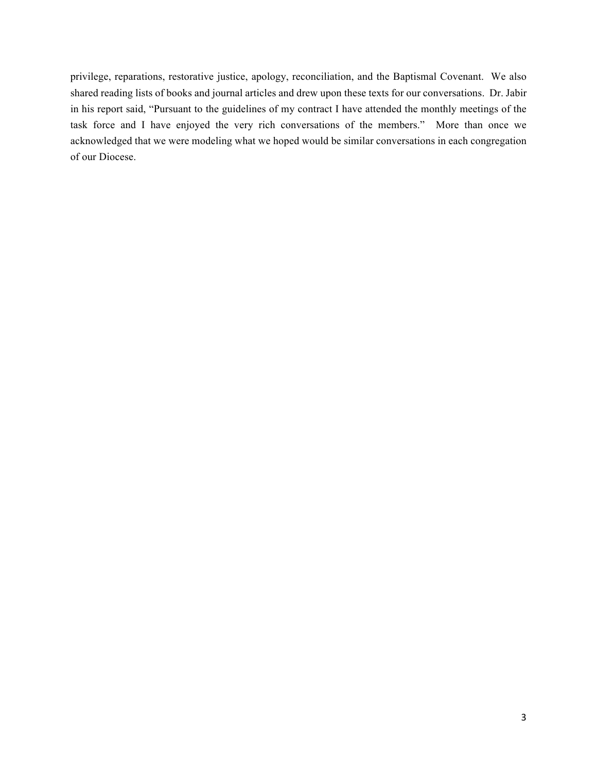privilege, reparations, restorative justice, apology, reconciliation, and the Baptismal Covenant. We also shared reading lists of books and journal articles and drew upon these texts for our conversations. Dr. Jabir in his report said, "Pursuant to the guidelines of my contract I have attended the monthly meetings of the task force and I have enjoyed the very rich conversations of the members." More than once we acknowledged that we were modeling what we hoped would be similar conversations in each congregation of our Diocese.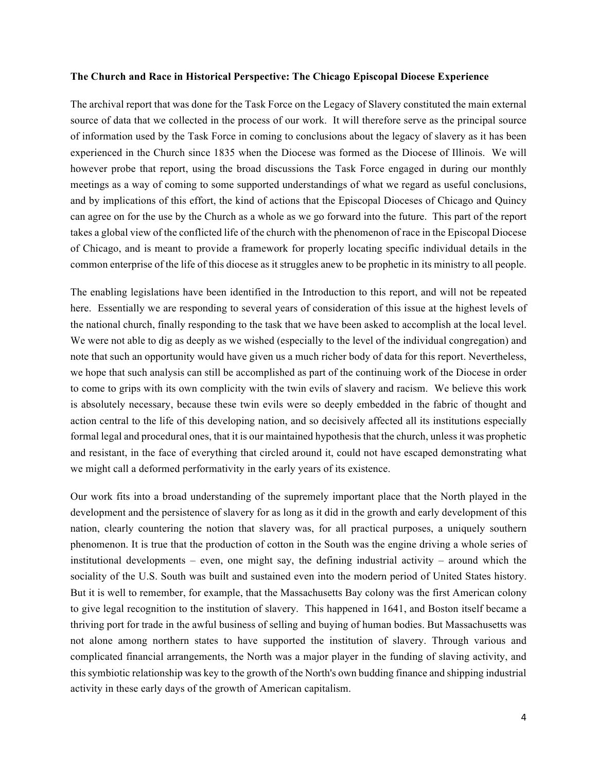#### **The Church and Race in Historical Perspective: The Chicago Episcopal Diocese Experience**

The archival report that was done for the Task Force on the Legacy of Slavery constituted the main external source of data that we collected in the process of our work. It will therefore serve as the principal source of information used by the Task Force in coming to conclusions about the legacy of slavery as it has been experienced in the Church since 1835 when the Diocese was formed as the Diocese of Illinois. We will however probe that report, using the broad discussions the Task Force engaged in during our monthly meetings as a way of coming to some supported understandings of what we regard as useful conclusions, and by implications of this effort, the kind of actions that the Episcopal Dioceses of Chicago and Quincy can agree on for the use by the Church as a whole as we go forward into the future. This part of the report takes a global view of the conflicted life of the church with the phenomenon of race in the Episcopal Diocese of Chicago, and is meant to provide a framework for properly locating specific individual details in the common enterprise of the life of this diocese as it struggles anew to be prophetic in its ministry to all people.

The enabling legislations have been identified in the Introduction to this report, and will not be repeated here. Essentially we are responding to several years of consideration of this issue at the highest levels of the national church, finally responding to the task that we have been asked to accomplish at the local level. We were not able to dig as deeply as we wished (especially to the level of the individual congregation) and note that such an opportunity would have given us a much richer body of data for this report. Nevertheless, we hope that such analysis can still be accomplished as part of the continuing work of the Diocese in order to come to grips with its own complicity with the twin evils of slavery and racism. We believe this work is absolutely necessary, because these twin evils were so deeply embedded in the fabric of thought and action central to the life of this developing nation, and so decisively affected all its institutions especially formal legal and procedural ones, that it is our maintained hypothesis that the church, unless it was prophetic and resistant, in the face of everything that circled around it, could not have escaped demonstrating what we might call a deformed performativity in the early years of its existence.

Our work fits into a broad understanding of the supremely important place that the North played in the development and the persistence of slavery for as long as it did in the growth and early development of this nation, clearly countering the notion that slavery was, for all practical purposes, a uniquely southern phenomenon. It is true that the production of cotton in the South was the engine driving a whole series of institutional developments – even, one might say, the defining industrial activity – around which the sociality of the U.S. South was built and sustained even into the modern period of United States history. But it is well to remember, for example, that the Massachusetts Bay colony was the first American colony to give legal recognition to the institution of slavery. This happened in 1641, and Boston itself became a thriving port for trade in the awful business of selling and buying of human bodies. But Massachusetts was not alone among northern states to have supported the institution of slavery. Through various and complicated financial arrangements, the North was a major player in the funding of slaving activity, and this symbiotic relationship was key to the growth of the North's own budding finance and shipping industrial activity in these early days of the growth of American capitalism.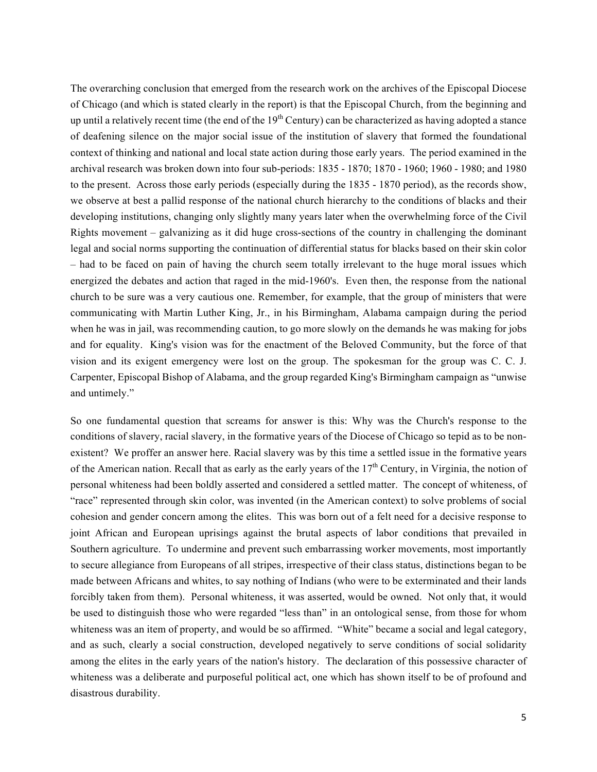The overarching conclusion that emerged from the research work on the archives of the Episcopal Diocese of Chicago (and which is stated clearly in the report) is that the Episcopal Church, from the beginning and up until a relatively recent time (the end of the  $19<sup>th</sup>$  Century) can be characterized as having adopted a stance of deafening silence on the major social issue of the institution of slavery that formed the foundational context of thinking and national and local state action during those early years. The period examined in the archival research was broken down into four sub-periods: 1835 - 1870; 1870 - 1960; 1960 - 1980; and 1980 to the present. Across those early periods (especially during the 1835 - 1870 period), as the records show, we observe at best a pallid response of the national church hierarchy to the conditions of blacks and their developing institutions, changing only slightly many years later when the overwhelming force of the Civil Rights movement – galvanizing as it did huge cross-sections of the country in challenging the dominant legal and social norms supporting the continuation of differential status for blacks based on their skin color – had to be faced on pain of having the church seem totally irrelevant to the huge moral issues which energized the debates and action that raged in the mid-1960's. Even then, the response from the national church to be sure was a very cautious one. Remember, for example, that the group of ministers that were communicating with Martin Luther King, Jr., in his Birmingham, Alabama campaign during the period when he was in jail, was recommending caution, to go more slowly on the demands he was making for jobs and for equality. King's vision was for the enactment of the Beloved Community, but the force of that vision and its exigent emergency were lost on the group. The spokesman for the group was C. C. J. Carpenter, Episcopal Bishop of Alabama, and the group regarded King's Birmingham campaign as "unwise and untimely."

So one fundamental question that screams for answer is this: Why was the Church's response to the conditions of slavery, racial slavery, in the formative years of the Diocese of Chicago so tepid as to be nonexistent? We proffer an answer here. Racial slavery was by this time a settled issue in the formative years of the American nation. Recall that as early as the early years of the  $17<sup>th</sup>$  Century, in Virginia, the notion of personal whiteness had been boldly asserted and considered a settled matter. The concept of whiteness, of "race" represented through skin color, was invented (in the American context) to solve problems of social cohesion and gender concern among the elites. This was born out of a felt need for a decisive response to joint African and European uprisings against the brutal aspects of labor conditions that prevailed in Southern agriculture. To undermine and prevent such embarrassing worker movements, most importantly to secure allegiance from Europeans of all stripes, irrespective of their class status, distinctions began to be made between Africans and whites, to say nothing of Indians (who were to be exterminated and their lands forcibly taken from them). Personal whiteness, it was asserted, would be owned. Not only that, it would be used to distinguish those who were regarded "less than" in an ontological sense, from those for whom whiteness was an item of property, and would be so affirmed. "White" became a social and legal category, and as such, clearly a social construction, developed negatively to serve conditions of social solidarity among the elites in the early years of the nation's history. The declaration of this possessive character of whiteness was a deliberate and purposeful political act, one which has shown itself to be of profound and disastrous durability.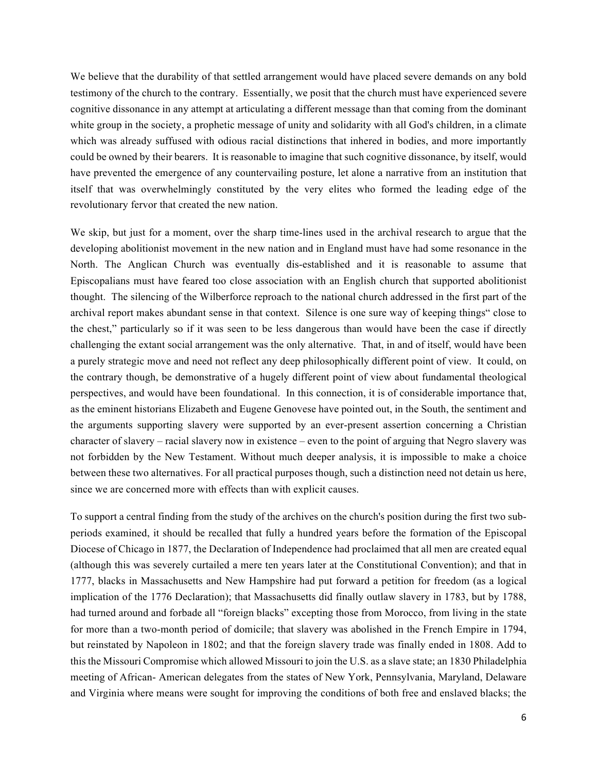We believe that the durability of that settled arrangement would have placed severe demands on any bold testimony of the church to the contrary. Essentially, we posit that the church must have experienced severe cognitive dissonance in any attempt at articulating a different message than that coming from the dominant white group in the society, a prophetic message of unity and solidarity with all God's children, in a climate which was already suffused with odious racial distinctions that inhered in bodies, and more importantly could be owned by their bearers. It is reasonable to imagine that such cognitive dissonance, by itself, would have prevented the emergence of any countervailing posture, let alone a narrative from an institution that itself that was overwhelmingly constituted by the very elites who formed the leading edge of the revolutionary fervor that created the new nation.

We skip, but just for a moment, over the sharp time-lines used in the archival research to argue that the developing abolitionist movement in the new nation and in England must have had some resonance in the North. The Anglican Church was eventually dis-established and it is reasonable to assume that Episcopalians must have feared too close association with an English church that supported abolitionist thought. The silencing of the Wilberforce reproach to the national church addressed in the first part of the archival report makes abundant sense in that context. Silence is one sure way of keeping things" close to the chest," particularly so if it was seen to be less dangerous than would have been the case if directly challenging the extant social arrangement was the only alternative. That, in and of itself, would have been a purely strategic move and need not reflect any deep philosophically different point of view. It could, on the contrary though, be demonstrative of a hugely different point of view about fundamental theological perspectives, and would have been foundational. In this connection, it is of considerable importance that, as the eminent historians Elizabeth and Eugene Genovese have pointed out, in the South, the sentiment and the arguments supporting slavery were supported by an ever-present assertion concerning a Christian character of slavery – racial slavery now in existence – even to the point of arguing that Negro slavery was not forbidden by the New Testament. Without much deeper analysis, it is impossible to make a choice between these two alternatives. For all practical purposes though, such a distinction need not detain us here, since we are concerned more with effects than with explicit causes.

To support a central finding from the study of the archives on the church's position during the first two subperiods examined, it should be recalled that fully a hundred years before the formation of the Episcopal Diocese of Chicago in 1877, the Declaration of Independence had proclaimed that all men are created equal (although this was severely curtailed a mere ten years later at the Constitutional Convention); and that in 1777, blacks in Massachusetts and New Hampshire had put forward a petition for freedom (as a logical implication of the 1776 Declaration); that Massachusetts did finally outlaw slavery in 1783, but by 1788, had turned around and forbade all "foreign blacks" excepting those from Morocco, from living in the state for more than a two-month period of domicile; that slavery was abolished in the French Empire in 1794, but reinstated by Napoleon in 1802; and that the foreign slavery trade was finally ended in 1808. Add to this the Missouri Compromise which allowed Missouri to join the U.S. as a slave state; an 1830 Philadelphia meeting of African- American delegates from the states of New York, Pennsylvania, Maryland, Delaware and Virginia where means were sought for improving the conditions of both free and enslaved blacks; the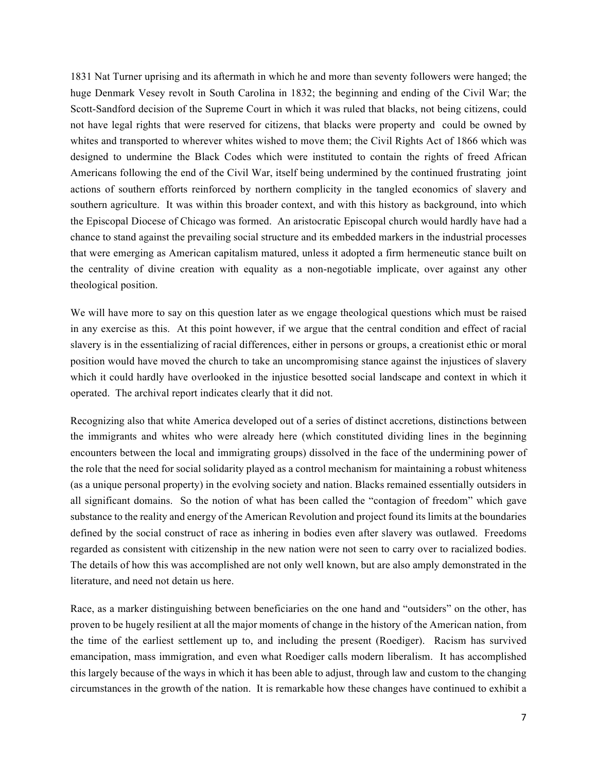1831 Nat Turner uprising and its aftermath in which he and more than seventy followers were hanged; the huge Denmark Vesey revolt in South Carolina in 1832; the beginning and ending of the Civil War; the Scott-Sandford decision of the Supreme Court in which it was ruled that blacks, not being citizens, could not have legal rights that were reserved for citizens, that blacks were property and could be owned by whites and transported to wherever whites wished to move them; the Civil Rights Act of 1866 which was designed to undermine the Black Codes which were instituted to contain the rights of freed African Americans following the end of the Civil War, itself being undermined by the continued frustrating joint actions of southern efforts reinforced by northern complicity in the tangled economics of slavery and southern agriculture. It was within this broader context, and with this history as background, into which the Episcopal Diocese of Chicago was formed. An aristocratic Episcopal church would hardly have had a chance to stand against the prevailing social structure and its embedded markers in the industrial processes that were emerging as American capitalism matured, unless it adopted a firm hermeneutic stance built on the centrality of divine creation with equality as a non-negotiable implicate, over against any other theological position.

We will have more to say on this question later as we engage theological questions which must be raised in any exercise as this. At this point however, if we argue that the central condition and effect of racial slavery is in the essentializing of racial differences, either in persons or groups, a creationist ethic or moral position would have moved the church to take an uncompromising stance against the injustices of slavery which it could hardly have overlooked in the injustice besotted social landscape and context in which it operated. The archival report indicates clearly that it did not.

Recognizing also that white America developed out of a series of distinct accretions, distinctions between the immigrants and whites who were already here (which constituted dividing lines in the beginning encounters between the local and immigrating groups) dissolved in the face of the undermining power of the role that the need for social solidarity played as a control mechanism for maintaining a robust whiteness (as a unique personal property) in the evolving society and nation. Blacks remained essentially outsiders in all significant domains. So the notion of what has been called the "contagion of freedom" which gave substance to the reality and energy of the American Revolution and project found its limits at the boundaries defined by the social construct of race as inhering in bodies even after slavery was outlawed. Freedoms regarded as consistent with citizenship in the new nation were not seen to carry over to racialized bodies. The details of how this was accomplished are not only well known, but are also amply demonstrated in the literature, and need not detain us here.

Race, as a marker distinguishing between beneficiaries on the one hand and "outsiders" on the other, has proven to be hugely resilient at all the major moments of change in the history of the American nation, from the time of the earliest settlement up to, and including the present (Roediger). Racism has survived emancipation, mass immigration, and even what Roediger calls modern liberalism. It has accomplished this largely because of the ways in which it has been able to adjust, through law and custom to the changing circumstances in the growth of the nation. It is remarkable how these changes have continued to exhibit a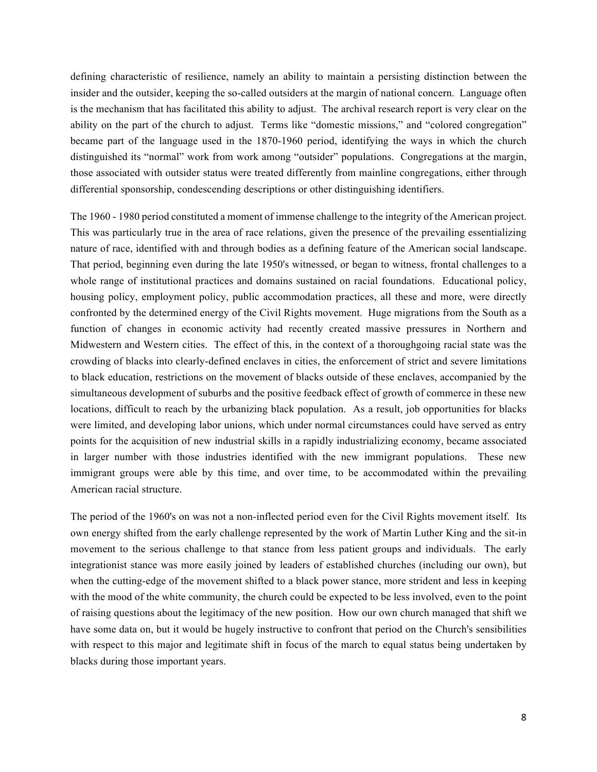defining characteristic of resilience, namely an ability to maintain a persisting distinction between the insider and the outsider, keeping the so-called outsiders at the margin of national concern. Language often is the mechanism that has facilitated this ability to adjust. The archival research report is very clear on the ability on the part of the church to adjust. Terms like "domestic missions," and "colored congregation" became part of the language used in the 1870-1960 period, identifying the ways in which the church distinguished its "normal" work from work among "outsider" populations. Congregations at the margin, those associated with outsider status were treated differently from mainline congregations, either through differential sponsorship, condescending descriptions or other distinguishing identifiers.

The 1960 - 1980 period constituted a moment of immense challenge to the integrity of the American project. This was particularly true in the area of race relations, given the presence of the prevailing essentializing nature of race, identified with and through bodies as a defining feature of the American social landscape. That period, beginning even during the late 1950's witnessed, or began to witness, frontal challenges to a whole range of institutional practices and domains sustained on racial foundations. Educational policy, housing policy, employment policy, public accommodation practices, all these and more, were directly confronted by the determined energy of the Civil Rights movement. Huge migrations from the South as a function of changes in economic activity had recently created massive pressures in Northern and Midwestern and Western cities. The effect of this, in the context of a thoroughgoing racial state was the crowding of blacks into clearly-defined enclaves in cities, the enforcement of strict and severe limitations to black education, restrictions on the movement of blacks outside of these enclaves, accompanied by the simultaneous development of suburbs and the positive feedback effect of growth of commerce in these new locations, difficult to reach by the urbanizing black population. As a result, job opportunities for blacks were limited, and developing labor unions, which under normal circumstances could have served as entry points for the acquisition of new industrial skills in a rapidly industrializing economy, became associated in larger number with those industries identified with the new immigrant populations. These new immigrant groups were able by this time, and over time, to be accommodated within the prevailing American racial structure.

The period of the 1960's on was not a non-inflected period even for the Civil Rights movement itself. Its own energy shifted from the early challenge represented by the work of Martin Luther King and the sit-in movement to the serious challenge to that stance from less patient groups and individuals. The early integrationist stance was more easily joined by leaders of established churches (including our own), but when the cutting-edge of the movement shifted to a black power stance, more strident and less in keeping with the mood of the white community, the church could be expected to be less involved, even to the point of raising questions about the legitimacy of the new position. How our own church managed that shift we have some data on, but it would be hugely instructive to confront that period on the Church's sensibilities with respect to this major and legitimate shift in focus of the march to equal status being undertaken by blacks during those important years.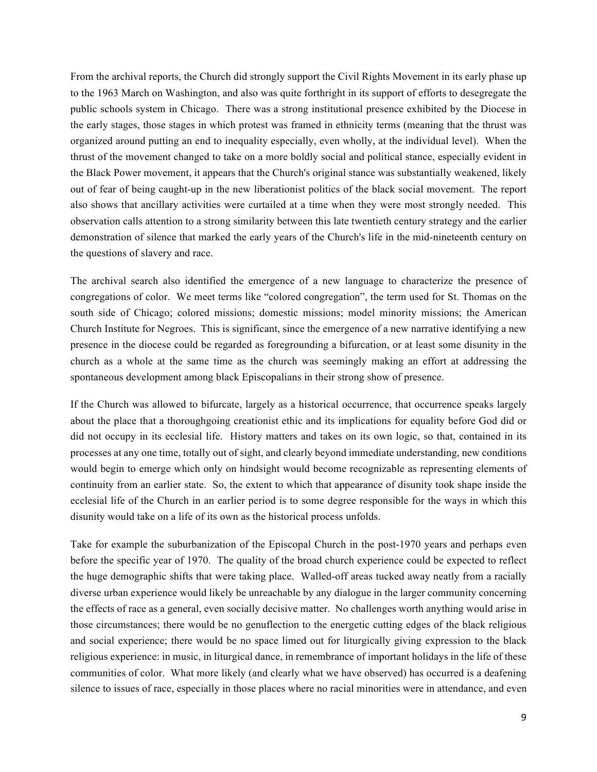From the archival reports, the Church did strongly support the Civil Rights Movement in its early phase up to the 1963 March on Washington, and also was quite forthright in its support of efforts to desegregate the public schools system in Chicago. There was a strong institutional presence exhibited by the Diocese in the early stages, those stages in which protest was framed in ethnicity terms (meaning that the thrust was organized around putting an end to inequality especially, even wholly, at the individual level). When the thrust of the movement changed to take on a more boldly social and political stance, especially evident in the Black Power movement, it appears that the Church's original stance was substantially weakened, likely out of fear of being caught-up in the new liberationist politics of the black social movement. The report also shows that ancillary activities were curtailed at a time when they were most strongly needed. This observation calls attention to a strong similarity between this late twentieth century strategy and the earlier demonstration of silence that marked the early years of the Church's life in the mid-nineteenth century on the questions of slavery and race.

The archival search also identified the emergence of a new language to characterize the presence of congregations of color. We meet terms like "colored congregation", the term used for St. Thomas on the south side of Chicago; colored missions; domestic missions; model minority missions; the American Church Institute for Negroes. This is significant, since the emergence of a new narrative identifying a new presence in the diocese could be regarded as foregrounding a bifurcation, or at least some disunity in the church as a whole at the same time as the church was seemingly making an effort at addressing the spontaneous development among black Episcopalians in their strong show of presence.

If the Church was allowed to bifurcate, largely as a historical occurrence, that occurrence speaks largely about the place that a thoroughgoing creationist ethic and its implications for equality before God did or did not occupy in its ecclesial life. History matters and takes on its own logic, so that, contained in its processes at any one time, totally out of sight, and clearly beyond immediate understanding, new conditions would begin to emerge which only on hindsight would become recognizable as representing elements of continuity from an earlier state. So, the extent to which that appearance of disunity took shape inside the ecclesial life of the Church in an earlier period is to some degree responsible for the ways in which this disunity would take on a life of its own as the historical process unfolds.

Take for example the suburbanization of the Episcopal Church in the post-1970 years and perhaps even before the specific year of 1970. The quality of the broad church experience could be expected to reflect the huge demographic shifts that were taking place. Walled-off areas tucked away neatly from a racially diverse urban experience would likely be unreachable by any dialogue in the larger community concerning the effects of race as a general, even socially decisive matter. No challenges worth anything would arise in those circumstances; there would be no genuflection to the energetic cutting edges of the black religious and social experience; there would be no space limed out for liturgically giving expression to the black religious experience: in music, in liturgical dance, in remembrance of important holidays in the life of these communities of color. What more likely (and clearly what we have observed) has occurred is a deafening silence to issues of race, especially in those places where no racial minorities were in attendance, and even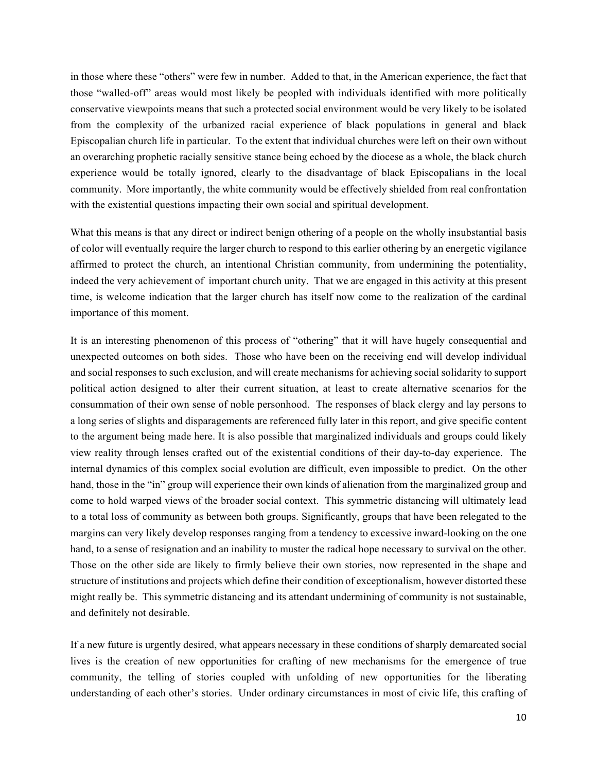in those where these "others" were few in number. Added to that, in the American experience, the fact that those "walled-off" areas would most likely be peopled with individuals identified with more politically conservative viewpoints means that such a protected social environment would be very likely to be isolated from the complexity of the urbanized racial experience of black populations in general and black Episcopalian church life in particular. To the extent that individual churches were left on their own without an overarching prophetic racially sensitive stance being echoed by the diocese as a whole, the black church experience would be totally ignored, clearly to the disadvantage of black Episcopalians in the local community. More importantly, the white community would be effectively shielded from real confrontation with the existential questions impacting their own social and spiritual development.

What this means is that any direct or indirect benign othering of a people on the wholly insubstantial basis of color will eventually require the larger church to respond to this earlier othering by an energetic vigilance affirmed to protect the church, an intentional Christian community, from undermining the potentiality, indeed the very achievement of important church unity. That we are engaged in this activity at this present time, is welcome indication that the larger church has itself now come to the realization of the cardinal importance of this moment.

It is an interesting phenomenon of this process of "othering" that it will have hugely consequential and unexpected outcomes on both sides. Those who have been on the receiving end will develop individual and social responses to such exclusion, and will create mechanisms for achieving social solidarity to support political action designed to alter their current situation, at least to create alternative scenarios for the consummation of their own sense of noble personhood. The responses of black clergy and lay persons to a long series of slights and disparagements are referenced fully later in this report, and give specific content to the argument being made here. It is also possible that marginalized individuals and groups could likely view reality through lenses crafted out of the existential conditions of their day-to-day experience. The internal dynamics of this complex social evolution are difficult, even impossible to predict. On the other hand, those in the "in" group will experience their own kinds of alienation from the marginalized group and come to hold warped views of the broader social context. This symmetric distancing will ultimately lead to a total loss of community as between both groups. Significantly, groups that have been relegated to the margins can very likely develop responses ranging from a tendency to excessive inward-looking on the one hand, to a sense of resignation and an inability to muster the radical hope necessary to survival on the other. Those on the other side are likely to firmly believe their own stories, now represented in the shape and structure of institutions and projects which define their condition of exceptionalism, however distorted these might really be. This symmetric distancing and its attendant undermining of community is not sustainable, and definitely not desirable.

If a new future is urgently desired, what appears necessary in these conditions of sharply demarcated social lives is the creation of new opportunities for crafting of new mechanisms for the emergence of true community, the telling of stories coupled with unfolding of new opportunities for the liberating understanding of each other's stories. Under ordinary circumstances in most of civic life, this crafting of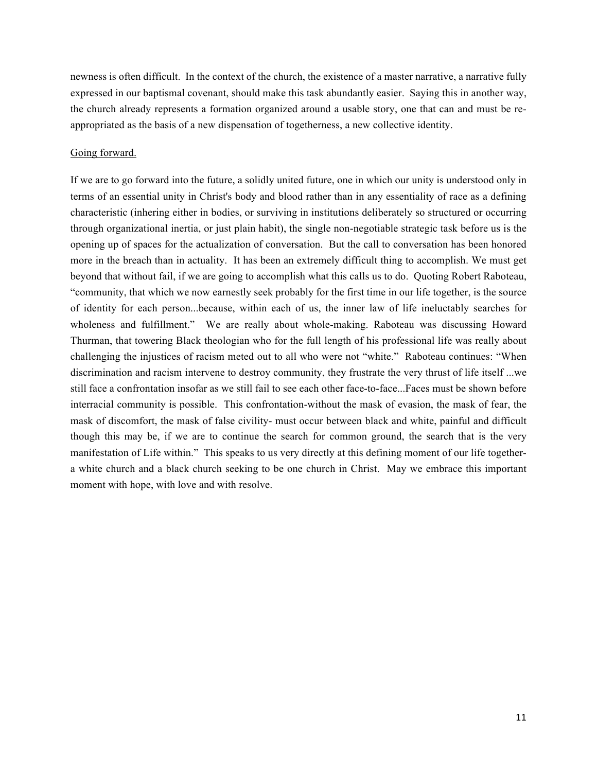newness is often difficult. In the context of the church, the existence of a master narrative, a narrative fully expressed in our baptismal covenant, should make this task abundantly easier. Saying this in another way, the church already represents a formation organized around a usable story, one that can and must be reappropriated as the basis of a new dispensation of togetherness, a new collective identity.

## Going forward.

If we are to go forward into the future, a solidly united future, one in which our unity is understood only in terms of an essential unity in Christ's body and blood rather than in any essentiality of race as a defining characteristic (inhering either in bodies, or surviving in institutions deliberately so structured or occurring through organizational inertia, or just plain habit), the single non-negotiable strategic task before us is the opening up of spaces for the actualization of conversation. But the call to conversation has been honored more in the breach than in actuality. It has been an extremely difficult thing to accomplish. We must get beyond that without fail, if we are going to accomplish what this calls us to do. Quoting Robert Raboteau, "community, that which we now earnestly seek probably for the first time in our life together, is the source of identity for each person...because, within each of us, the inner law of life ineluctably searches for wholeness and fulfillment." We are really about whole-making. Raboteau was discussing Howard Thurman, that towering Black theologian who for the full length of his professional life was really about challenging the injustices of racism meted out to all who were not "white." Raboteau continues: "When discrimination and racism intervene to destroy community, they frustrate the very thrust of life itself ...we still face a confrontation insofar as we still fail to see each other face-to-face...Faces must be shown before interracial community is possible. This confrontation-without the mask of evasion, the mask of fear, the mask of discomfort, the mask of false civility- must occur between black and white, painful and difficult though this may be, if we are to continue the search for common ground, the search that is the very manifestation of Life within." This speaks to us very directly at this defining moment of our life togethera white church and a black church seeking to be one church in Christ. May we embrace this important moment with hope, with love and with resolve.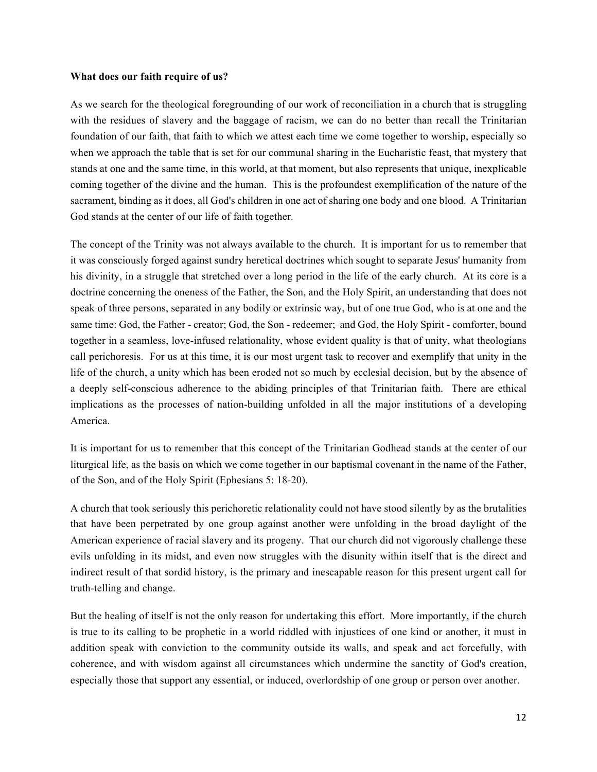## **What does our faith require of us?**

As we search for the theological foregrounding of our work of reconciliation in a church that is struggling with the residues of slavery and the baggage of racism, we can do no better than recall the Trinitarian foundation of our faith, that faith to which we attest each time we come together to worship, especially so when we approach the table that is set for our communal sharing in the Eucharistic feast, that mystery that stands at one and the same time, in this world, at that moment, but also represents that unique, inexplicable coming together of the divine and the human. This is the profoundest exemplification of the nature of the sacrament, binding as it does, all God's children in one act of sharing one body and one blood. A Trinitarian God stands at the center of our life of faith together.

The concept of the Trinity was not always available to the church. It is important for us to remember that it was consciously forged against sundry heretical doctrines which sought to separate Jesus' humanity from his divinity, in a struggle that stretched over a long period in the life of the early church. At its core is a doctrine concerning the oneness of the Father, the Son, and the Holy Spirit, an understanding that does not speak of three persons, separated in any bodily or extrinsic way, but of one true God, who is at one and the same time: God, the Father - creator; God, the Son - redeemer; and God, the Holy Spirit - comforter, bound together in a seamless, love-infused relationality, whose evident quality is that of unity, what theologians call perichoresis. For us at this time, it is our most urgent task to recover and exemplify that unity in the life of the church, a unity which has been eroded not so much by ecclesial decision, but by the absence of a deeply self-conscious adherence to the abiding principles of that Trinitarian faith. There are ethical implications as the processes of nation-building unfolded in all the major institutions of a developing America.

It is important for us to remember that this concept of the Trinitarian Godhead stands at the center of our liturgical life, as the basis on which we come together in our baptismal covenant in the name of the Father, of the Son, and of the Holy Spirit (Ephesians 5: 18-20).

A church that took seriously this perichoretic relationality could not have stood silently by as the brutalities that have been perpetrated by one group against another were unfolding in the broad daylight of the American experience of racial slavery and its progeny. That our church did not vigorously challenge these evils unfolding in its midst, and even now struggles with the disunity within itself that is the direct and indirect result of that sordid history, is the primary and inescapable reason for this present urgent call for truth-telling and change.

But the healing of itself is not the only reason for undertaking this effort. More importantly, if the church is true to its calling to be prophetic in a world riddled with injustices of one kind or another, it must in addition speak with conviction to the community outside its walls, and speak and act forcefully, with coherence, and with wisdom against all circumstances which undermine the sanctity of God's creation, especially those that support any essential, or induced, overlordship of one group or person over another.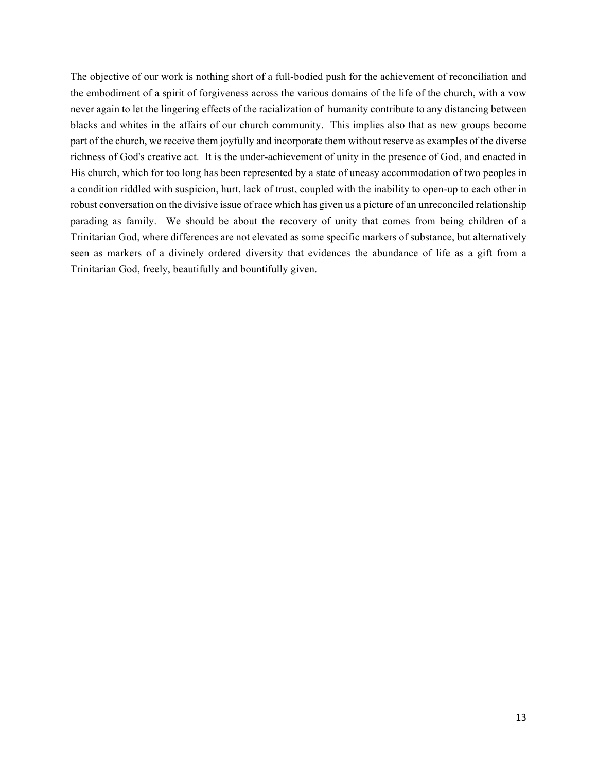The objective of our work is nothing short of a full-bodied push for the achievement of reconciliation and the embodiment of a spirit of forgiveness across the various domains of the life of the church, with a vow never again to let the lingering effects of the racialization of humanity contribute to any distancing between blacks and whites in the affairs of our church community. This implies also that as new groups become part of the church, we receive them joyfully and incorporate them without reserve as examples of the diverse richness of God's creative act. It is the under-achievement of unity in the presence of God, and enacted in His church, which for too long has been represented by a state of uneasy accommodation of two peoples in a condition riddled with suspicion, hurt, lack of trust, coupled with the inability to open-up to each other in robust conversation on the divisive issue of race which has given us a picture of an unreconciled relationship parading as family. We should be about the recovery of unity that comes from being children of a Trinitarian God, where differences are not elevated as some specific markers of substance, but alternatively seen as markers of a divinely ordered diversity that evidences the abundance of life as a gift from a Trinitarian God, freely, beautifully and bountifully given.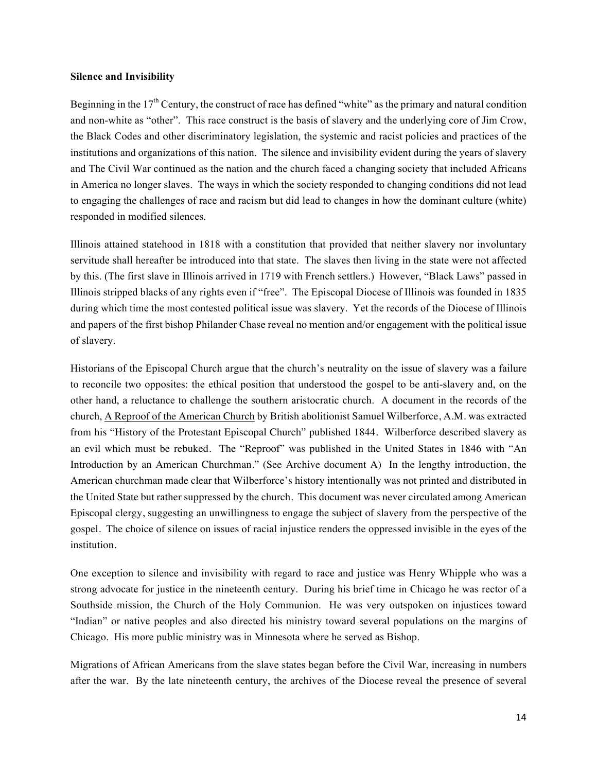## **Silence and Invisibility**

Beginning in the  $17<sup>th</sup>$  Century, the construct of race has defined "white" as the primary and natural condition and non-white as "other". This race construct is the basis of slavery and the underlying core of Jim Crow, the Black Codes and other discriminatory legislation, the systemic and racist policies and practices of the institutions and organizations of this nation. The silence and invisibility evident during the years of slavery and The Civil War continued as the nation and the church faced a changing society that included Africans in America no longer slaves. The ways in which the society responded to changing conditions did not lead to engaging the challenges of race and racism but did lead to changes in how the dominant culture (white) responded in modified silences.

Illinois attained statehood in 1818 with a constitution that provided that neither slavery nor involuntary servitude shall hereafter be introduced into that state. The slaves then living in the state were not affected by this. (The first slave in Illinois arrived in 1719 with French settlers.) However, "Black Laws" passed in Illinois stripped blacks of any rights even if "free". The Episcopal Diocese of Illinois was founded in 1835 during which time the most contested political issue was slavery. Yet the records of the Diocese of Illinois and papers of the first bishop Philander Chase reveal no mention and/or engagement with the political issue of slavery.

Historians of the Episcopal Church argue that the church's neutrality on the issue of slavery was a failure to reconcile two opposites: the ethical position that understood the gospel to be anti-slavery and, on the other hand, a reluctance to challenge the southern aristocratic church. A document in the records of the church, A Reproof of the American Church by British abolitionist Samuel Wilberforce, A.M. was extracted from his "History of the Protestant Episcopal Church" published 1844. Wilberforce described slavery as an evil which must be rebuked. The "Reproof" was published in the United States in 1846 with "An Introduction by an American Churchman." (See Archive document A) In the lengthy introduction, the American churchman made clear that Wilberforce's history intentionally was not printed and distributed in the United State but rather suppressed by the church. This document was never circulated among American Episcopal clergy, suggesting an unwillingness to engage the subject of slavery from the perspective of the gospel. The choice of silence on issues of racial injustice renders the oppressed invisible in the eyes of the institution.

One exception to silence and invisibility with regard to race and justice was Henry Whipple who was a strong advocate for justice in the nineteenth century. During his brief time in Chicago he was rector of a Southside mission, the Church of the Holy Communion. He was very outspoken on injustices toward "Indian" or native peoples and also directed his ministry toward several populations on the margins of Chicago. His more public ministry was in Minnesota where he served as Bishop.

Migrations of African Americans from the slave states began before the Civil War, increasing in numbers after the war. By the late nineteenth century, the archives of the Diocese reveal the presence of several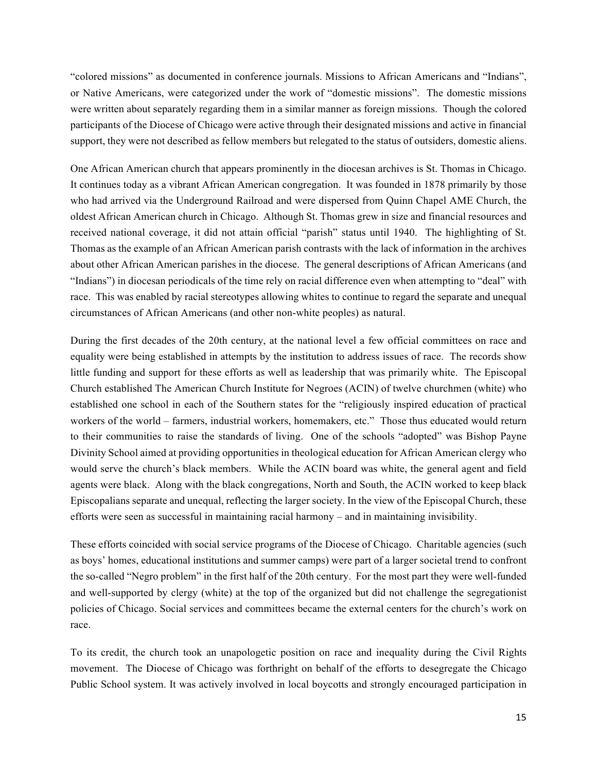"colored missions" as documented in conference journals. Missions to African Americans and "Indians", or Native Americans, were categorized under the work of "domestic missions". The domestic missions were written about separately regarding them in a similar manner as foreign missions. Though the colored participants of the Diocese of Chicago were active through their designated missions and active in financial support, they were not described as fellow members but relegated to the status of outsiders, domestic aliens.

One African American church that appears prominently in the diocesan archives is St. Thomas in Chicago. It continues today as a vibrant African American congregation. It was founded in 1878 primarily by those who had arrived via the Underground Railroad and were dispersed from Quinn Chapel AME Church, the oldest African American church in Chicago. Although St. Thomas grew in size and financial resources and received national coverage, it did not attain official "parish" status until 1940. The highlighting of St. Thomas as the example of an African American parish contrasts with the lack of information in the archives about other African American parishes in the diocese. The general descriptions of African Americans (and "Indians") in diocesan periodicals of the time rely on racial difference even when attempting to "deal" with race. This was enabled by racial stereotypes allowing whites to continue to regard the separate and unequal circumstances of African Americans (and other non-white peoples) as natural.

During the first decades of the 20th century, at the national level a few official committees on race and equality were being established in attempts by the institution to address issues of race. The records show little funding and support for these efforts as well as leadership that was primarily white. The Episcopal Church established The American Church Institute for Negroes (ACIN) of twelve churchmen (white) who established one school in each of the Southern states for the "religiously inspired education of practical workers of the world – farmers, industrial workers, homemakers, etc." Those thus educated would return to their communities to raise the standards of living. One of the schools "adopted" was Bishop Payne Divinity School aimed at providing opportunities in theological education for African American clergy who would serve the church's black members. While the ACIN board was white, the general agent and field agents were black. Along with the black congregations, North and South, the ACIN worked to keep black Episcopalians separate and unequal, reflecting the larger society. In the view of the Episcopal Church, these efforts were seen as successful in maintaining racial harmony – and in maintaining invisibility.

These efforts coincided with social service programs of the Diocese of Chicago. Charitable agencies (such as boys' homes, educational institutions and summer camps) were part of a larger societal trend to confront the so-called "Negro problem" in the first half of the 20th century. For the most part they were well-funded and well-supported by clergy (white) at the top of the organized but did not challenge the segregationist policies of Chicago. Social services and committees became the external centers for the church's work on race.

To its credit, the church took an unapologetic position on race and inequality during the Civil Rights movement. The Diocese of Chicago was forthright on behalf of the efforts to desegregate the Chicago Public School system. It was actively involved in local boycotts and strongly encouraged participation in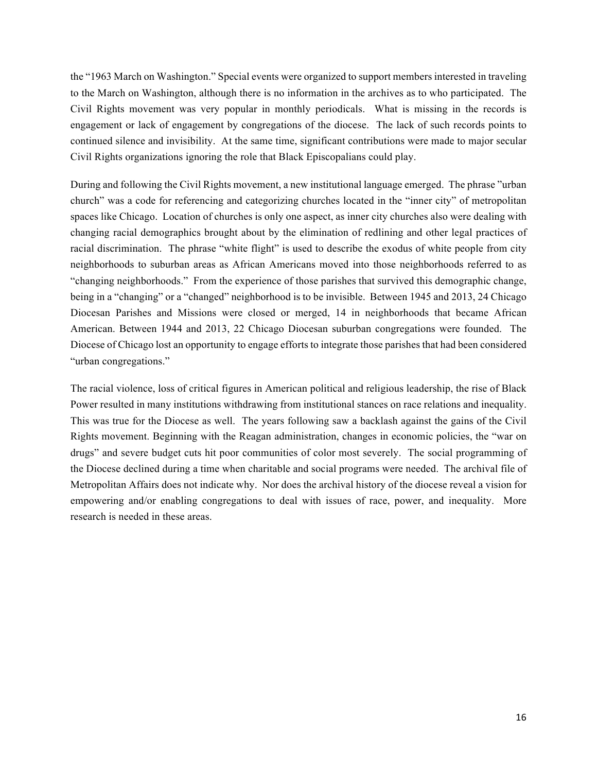the "1963 March on Washington." Special events were organized to support members interested in traveling to the March on Washington, although there is no information in the archives as to who participated. The Civil Rights movement was very popular in monthly periodicals. What is missing in the records is engagement or lack of engagement by congregations of the diocese. The lack of such records points to continued silence and invisibility. At the same time, significant contributions were made to major secular Civil Rights organizations ignoring the role that Black Episcopalians could play.

During and following the Civil Rights movement, a new institutional language emerged. The phrase "urban church" was a code for referencing and categorizing churches located in the "inner city" of metropolitan spaces like Chicago. Location of churches is only one aspect, as inner city churches also were dealing with changing racial demographics brought about by the elimination of redlining and other legal practices of racial discrimination. The phrase "white flight" is used to describe the exodus of white people from city neighborhoods to suburban areas as African Americans moved into those neighborhoods referred to as "changing neighborhoods." From the experience of those parishes that survived this demographic change, being in a "changing" or a "changed" neighborhood is to be invisible. Between 1945 and 2013, 24 Chicago Diocesan Parishes and Missions were closed or merged, 14 in neighborhoods that became African American. Between 1944 and 2013, 22 Chicago Diocesan suburban congregations were founded. The Diocese of Chicago lost an opportunity to engage efforts to integrate those parishes that had been considered "urban congregations."

The racial violence, loss of critical figures in American political and religious leadership, the rise of Black Power resulted in many institutions withdrawing from institutional stances on race relations and inequality. This was true for the Diocese as well. The years following saw a backlash against the gains of the Civil Rights movement. Beginning with the Reagan administration, changes in economic policies, the "war on drugs" and severe budget cuts hit poor communities of color most severely. The social programming of the Diocese declined during a time when charitable and social programs were needed. The archival file of Metropolitan Affairs does not indicate why. Nor does the archival history of the diocese reveal a vision for empowering and/or enabling congregations to deal with issues of race, power, and inequality. More research is needed in these areas.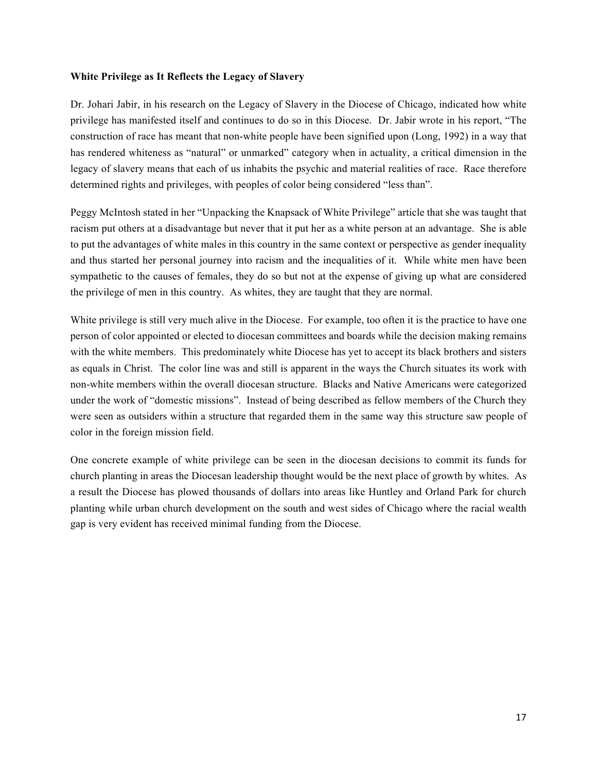## **White Privilege as It Reflects the Legacy of Slavery**

Dr. Johari Jabir, in his research on the Legacy of Slavery in the Diocese of Chicago, indicated how white privilege has manifested itself and continues to do so in this Diocese. Dr. Jabir wrote in his report, "The construction of race has meant that non-white people have been signified upon (Long, 1992) in a way that has rendered whiteness as "natural" or unmarked" category when in actuality, a critical dimension in the legacy of slavery means that each of us inhabits the psychic and material realities of race. Race therefore determined rights and privileges, with peoples of color being considered "less than".

Peggy McIntosh stated in her "Unpacking the Knapsack of White Privilege" article that she was taught that racism put others at a disadvantage but never that it put her as a white person at an advantage. She is able to put the advantages of white males in this country in the same context or perspective as gender inequality and thus started her personal journey into racism and the inequalities of it. While white men have been sympathetic to the causes of females, they do so but not at the expense of giving up what are considered the privilege of men in this country. As whites, they are taught that they are normal.

White privilege is still very much alive in the Diocese. For example, too often it is the practice to have one person of color appointed or elected to diocesan committees and boards while the decision making remains with the white members. This predominately white Diocese has yet to accept its black brothers and sisters as equals in Christ. The color line was and still is apparent in the ways the Church situates its work with non-white members within the overall diocesan structure. Blacks and Native Americans were categorized under the work of "domestic missions". Instead of being described as fellow members of the Church they were seen as outsiders within a structure that regarded them in the same way this structure saw people of color in the foreign mission field.

One concrete example of white privilege can be seen in the diocesan decisions to commit its funds for church planting in areas the Diocesan leadership thought would be the next place of growth by whites. As a result the Diocese has plowed thousands of dollars into areas like Huntley and Orland Park for church planting while urban church development on the south and west sides of Chicago where the racial wealth gap is very evident has received minimal funding from the Diocese.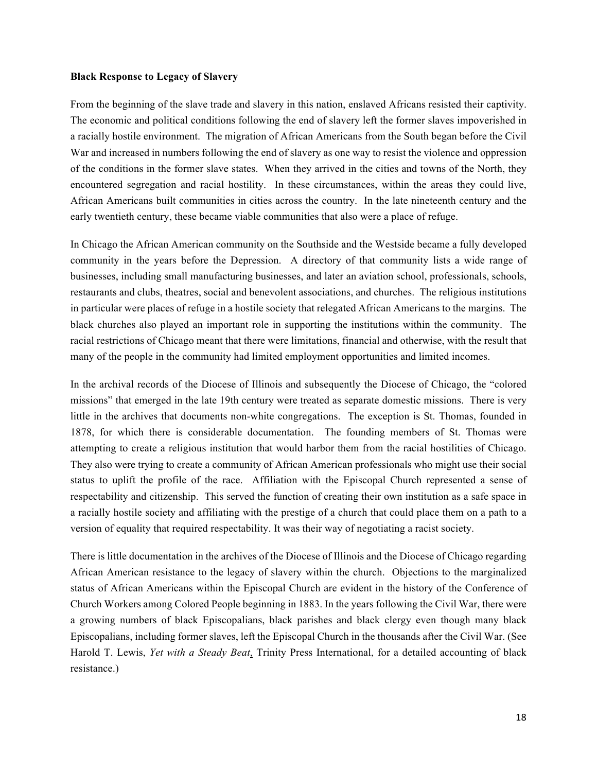#### **Black Response to Legacy of Slavery**

From the beginning of the slave trade and slavery in this nation, enslaved Africans resisted their captivity. The economic and political conditions following the end of slavery left the former slaves impoverished in a racially hostile environment. The migration of African Americans from the South began before the Civil War and increased in numbers following the end of slavery as one way to resist the violence and oppression of the conditions in the former slave states. When they arrived in the cities and towns of the North, they encountered segregation and racial hostility. In these circumstances, within the areas they could live, African Americans built communities in cities across the country. In the late nineteenth century and the early twentieth century, these became viable communities that also were a place of refuge.

In Chicago the African American community on the Southside and the Westside became a fully developed community in the years before the Depression. A directory of that community lists a wide range of businesses, including small manufacturing businesses, and later an aviation school, professionals, schools, restaurants and clubs, theatres, social and benevolent associations, and churches. The religious institutions in particular were places of refuge in a hostile society that relegated African Americans to the margins. The black churches also played an important role in supporting the institutions within the community. The racial restrictions of Chicago meant that there were limitations, financial and otherwise, with the result that many of the people in the community had limited employment opportunities and limited incomes.

In the archival records of the Diocese of Illinois and subsequently the Diocese of Chicago, the "colored missions" that emerged in the late 19th century were treated as separate domestic missions. There is very little in the archives that documents non-white congregations. The exception is St. Thomas, founded in 1878, for which there is considerable documentation. The founding members of St. Thomas were attempting to create a religious institution that would harbor them from the racial hostilities of Chicago. They also were trying to create a community of African American professionals who might use their social status to uplift the profile of the race. Affiliation with the Episcopal Church represented a sense of respectability and citizenship. This served the function of creating their own institution as a safe space in a racially hostile society and affiliating with the prestige of a church that could place them on a path to a version of equality that required respectability. It was their way of negotiating a racist society.

There is little documentation in the archives of the Diocese of Illinois and the Diocese of Chicago regarding African American resistance to the legacy of slavery within the church. Objections to the marginalized status of African Americans within the Episcopal Church are evident in the history of the Conference of Church Workers among Colored People beginning in 1883. In the years following the Civil War, there were a growing numbers of black Episcopalians, black parishes and black clergy even though many black Episcopalians, including former slaves, left the Episcopal Church in the thousands after the Civil War. (See Harold T. Lewis, *Yet with a Steady Beat*, Trinity Press International, for a detailed accounting of black resistance.)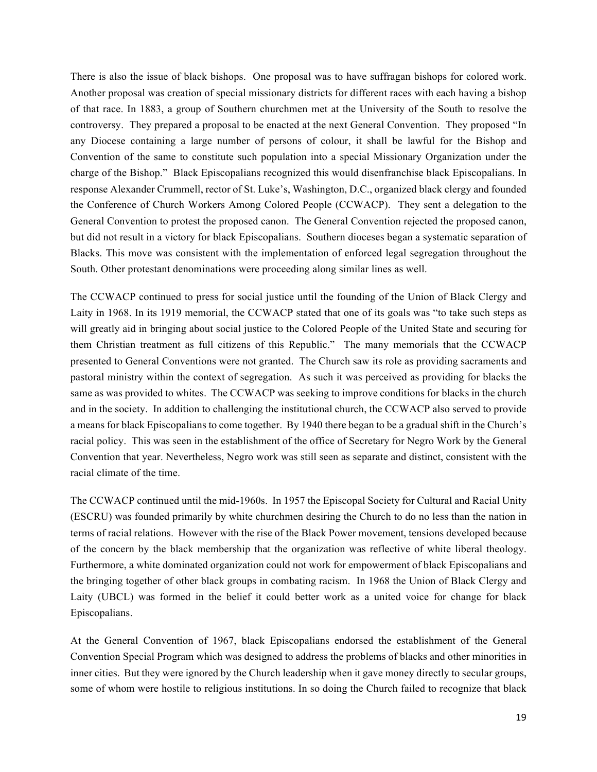There is also the issue of black bishops. One proposal was to have suffragan bishops for colored work. Another proposal was creation of special missionary districts for different races with each having a bishop of that race. In 1883, a group of Southern churchmen met at the University of the South to resolve the controversy. They prepared a proposal to be enacted at the next General Convention. They proposed "In any Diocese containing a large number of persons of colour, it shall be lawful for the Bishop and Convention of the same to constitute such population into a special Missionary Organization under the charge of the Bishop." Black Episcopalians recognized this would disenfranchise black Episcopalians. In response Alexander Crummell, rector of St. Luke's, Washington, D.C., organized black clergy and founded the Conference of Church Workers Among Colored People (CCWACP). They sent a delegation to the General Convention to protest the proposed canon. The General Convention rejected the proposed canon, but did not result in a victory for black Episcopalians. Southern dioceses began a systematic separation of Blacks. This move was consistent with the implementation of enforced legal segregation throughout the South. Other protestant denominations were proceeding along similar lines as well.

The CCWACP continued to press for social justice until the founding of the Union of Black Clergy and Laity in 1968. In its 1919 memorial, the CCWACP stated that one of its goals was "to take such steps as will greatly aid in bringing about social justice to the Colored People of the United State and securing for them Christian treatment as full citizens of this Republic." The many memorials that the CCWACP presented to General Conventions were not granted. The Church saw its role as providing sacraments and pastoral ministry within the context of segregation. As such it was perceived as providing for blacks the same as was provided to whites. The CCWACP was seeking to improve conditions for blacks in the church and in the society. In addition to challenging the institutional church, the CCWACP also served to provide a means for black Episcopalians to come together. By 1940 there began to be a gradual shift in the Church's racial policy. This was seen in the establishment of the office of Secretary for Negro Work by the General Convention that year. Nevertheless, Negro work was still seen as separate and distinct, consistent with the racial climate of the time.

The CCWACP continued until the mid-1960s. In 1957 the Episcopal Society for Cultural and Racial Unity (ESCRU) was founded primarily by white churchmen desiring the Church to do no less than the nation in terms of racial relations. However with the rise of the Black Power movement, tensions developed because of the concern by the black membership that the organization was reflective of white liberal theology. Furthermore, a white dominated organization could not work for empowerment of black Episcopalians and the bringing together of other black groups in combating racism. In 1968 the Union of Black Clergy and Laity (UBCL) was formed in the belief it could better work as a united voice for change for black Episcopalians.

At the General Convention of 1967, black Episcopalians endorsed the establishment of the General Convention Special Program which was designed to address the problems of blacks and other minorities in inner cities. But they were ignored by the Church leadership when it gave money directly to secular groups, some of whom were hostile to religious institutions. In so doing the Church failed to recognize that black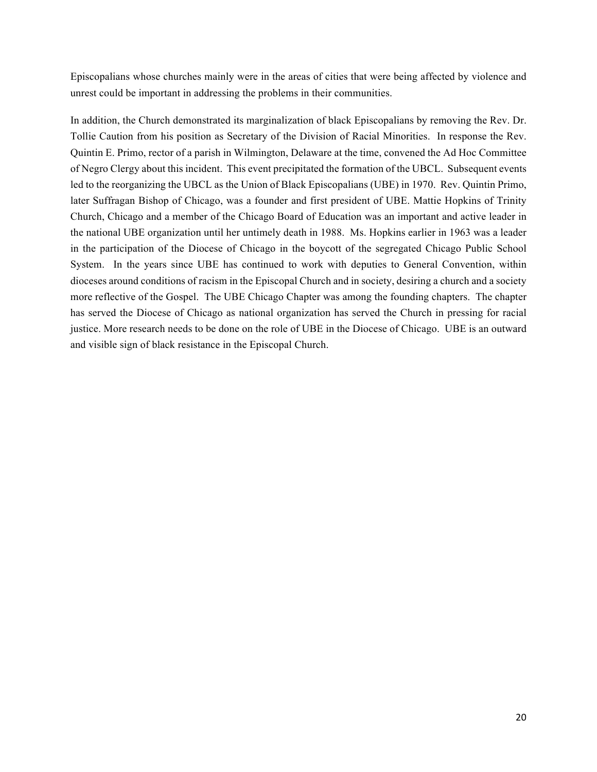Episcopalians whose churches mainly were in the areas of cities that were being affected by violence and unrest could be important in addressing the problems in their communities.

In addition, the Church demonstrated its marginalization of black Episcopalians by removing the Rev. Dr. Tollie Caution from his position as Secretary of the Division of Racial Minorities. In response the Rev. Quintin E. Primo, rector of a parish in Wilmington, Delaware at the time, convened the Ad Hoc Committee of Negro Clergy about this incident. This event precipitated the formation of the UBCL. Subsequent events led to the reorganizing the UBCL as the Union of Black Episcopalians (UBE) in 1970. Rev. Quintin Primo, later Suffragan Bishop of Chicago, was a founder and first president of UBE. Mattie Hopkins of Trinity Church, Chicago and a member of the Chicago Board of Education was an important and active leader in the national UBE organization until her untimely death in 1988. Ms. Hopkins earlier in 1963 was a leader in the participation of the Diocese of Chicago in the boycott of the segregated Chicago Public School System. In the years since UBE has continued to work with deputies to General Convention, within dioceses around conditions of racism in the Episcopal Church and in society, desiring a church and a society more reflective of the Gospel. The UBE Chicago Chapter was among the founding chapters. The chapter has served the Diocese of Chicago as national organization has served the Church in pressing for racial justice. More research needs to be done on the role of UBE in the Diocese of Chicago. UBE is an outward and visible sign of black resistance in the Episcopal Church.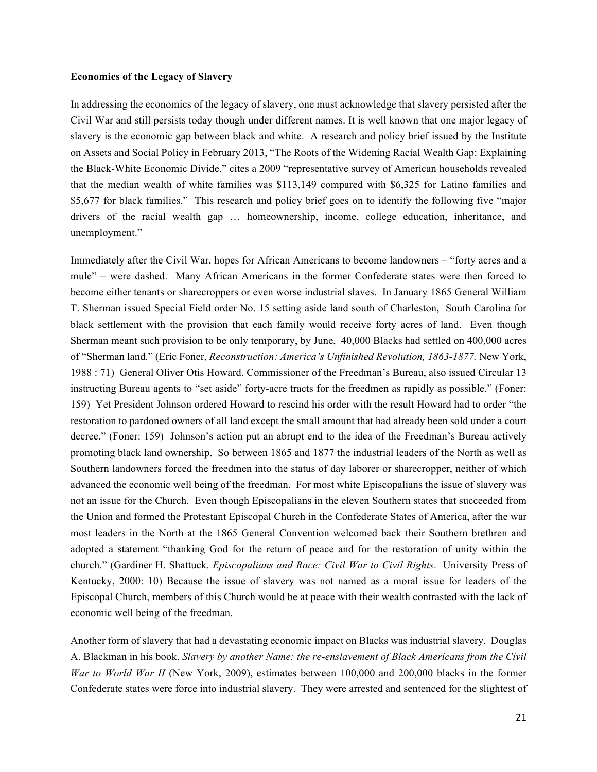## **Economics of the Legacy of Slavery**

In addressing the economics of the legacy of slavery, one must acknowledge that slavery persisted after the Civil War and still persists today though under different names. It is well known that one major legacy of slavery is the economic gap between black and white. A research and policy brief issued by the Institute on Assets and Social Policy in February 2013, "The Roots of the Widening Racial Wealth Gap: Explaining the Black-White Economic Divide," cites a 2009 "representative survey of American households revealed that the median wealth of white families was \$113,149 compared with \$6,325 for Latino families and \$5,677 for black families." This research and policy brief goes on to identify the following five "major drivers of the racial wealth gap … homeownership, income, college education, inheritance, and unemployment."

Immediately after the Civil War, hopes for African Americans to become landowners – "forty acres and a mule" – were dashed. Many African Americans in the former Confederate states were then forced to become either tenants or sharecroppers or even worse industrial slaves. In January 1865 General William T. Sherman issued Special Field order No. 15 setting aside land south of Charleston, South Carolina for black settlement with the provision that each family would receive forty acres of land. Even though Sherman meant such provision to be only temporary, by June, 40,000 Blacks had settled on 400,000 acres of "Sherman land." (Eric Foner, *Reconstruction: America's Unfinished Revolution, 1863-1877.* New York, 1988 : 71) General Oliver Otis Howard, Commissioner of the Freedman's Bureau, also issued Circular 13 instructing Bureau agents to "set aside" forty-acre tracts for the freedmen as rapidly as possible." (Foner: 159) Yet President Johnson ordered Howard to rescind his order with the result Howard had to order "the restoration to pardoned owners of all land except the small amount that had already been sold under a court decree." (Foner: 159) Johnson's action put an abrupt end to the idea of the Freedman's Bureau actively promoting black land ownership. So between 1865 and 1877 the industrial leaders of the North as well as Southern landowners forced the freedmen into the status of day laborer or sharecropper, neither of which advanced the economic well being of the freedman. For most white Episcopalians the issue of slavery was not an issue for the Church. Even though Episcopalians in the eleven Southern states that succeeded from the Union and formed the Protestant Episcopal Church in the Confederate States of America, after the war most leaders in the North at the 1865 General Convention welcomed back their Southern brethren and adopted a statement "thanking God for the return of peace and for the restoration of unity within the church." (Gardiner H. Shattuck. *Episcopalians and Race: Civil War to Civil Rights*. University Press of Kentucky, 2000: 10) Because the issue of slavery was not named as a moral issue for leaders of the Episcopal Church, members of this Church would be at peace with their wealth contrasted with the lack of economic well being of the freedman.

Another form of slavery that had a devastating economic impact on Blacks was industrial slavery. Douglas A. Blackman in his book, *Slavery by another Name: the re-enslavement of Black Americans from the Civil War to World War II* (New York, 2009), estimates between 100,000 and 200,000 blacks in the former Confederate states were force into industrial slavery. They were arrested and sentenced for the slightest of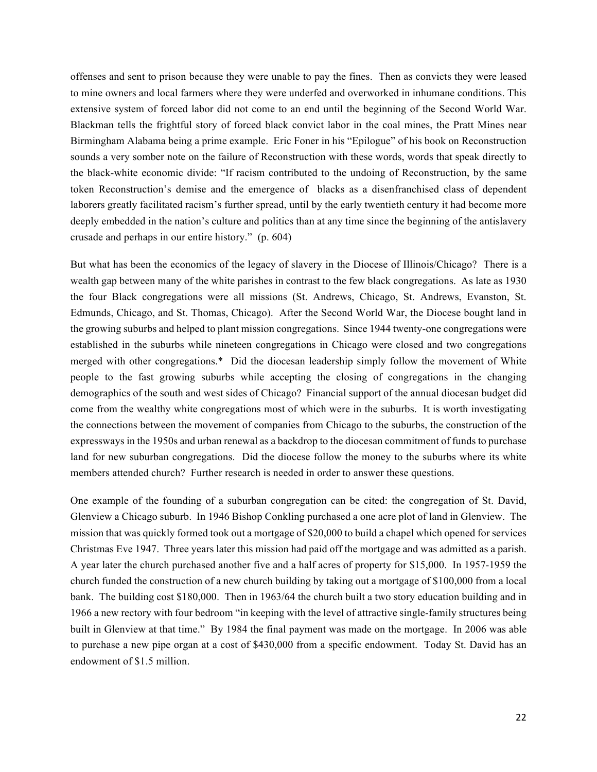offenses and sent to prison because they were unable to pay the fines. Then as convicts they were leased to mine owners and local farmers where they were underfed and overworked in inhumane conditions. This extensive system of forced labor did not come to an end until the beginning of the Second World War. Blackman tells the frightful story of forced black convict labor in the coal mines, the Pratt Mines near Birmingham Alabama being a prime example. Eric Foner in his "Epilogue" of his book on Reconstruction sounds a very somber note on the failure of Reconstruction with these words, words that speak directly to the black-white economic divide: "If racism contributed to the undoing of Reconstruction, by the same token Reconstruction's demise and the emergence of blacks as a disenfranchised class of dependent laborers greatly facilitated racism's further spread, until by the early twentieth century it had become more deeply embedded in the nation's culture and politics than at any time since the beginning of the antislavery crusade and perhaps in our entire history." (p. 604)

But what has been the economics of the legacy of slavery in the Diocese of Illinois/Chicago? There is a wealth gap between many of the white parishes in contrast to the few black congregations. As late as 1930 the four Black congregations were all missions (St. Andrews, Chicago, St. Andrews, Evanston, St. Edmunds, Chicago, and St. Thomas, Chicago). After the Second World War, the Diocese bought land in the growing suburbs and helped to plant mission congregations. Since 1944 twenty-one congregations were established in the suburbs while nineteen congregations in Chicago were closed and two congregations merged with other congregations.\* Did the diocesan leadership simply follow the movement of White people to the fast growing suburbs while accepting the closing of congregations in the changing demographics of the south and west sides of Chicago? Financial support of the annual diocesan budget did come from the wealthy white congregations most of which were in the suburbs. It is worth investigating the connections between the movement of companies from Chicago to the suburbs, the construction of the expressways in the 1950s and urban renewal as a backdrop to the diocesan commitment of funds to purchase land for new suburban congregations. Did the diocese follow the money to the suburbs where its white members attended church? Further research is needed in order to answer these questions.

One example of the founding of a suburban congregation can be cited: the congregation of St. David, Glenview a Chicago suburb. In 1946 Bishop Conkling purchased a one acre plot of land in Glenview. The mission that was quickly formed took out a mortgage of \$20,000 to build a chapel which opened for services Christmas Eve 1947. Three years later this mission had paid off the mortgage and was admitted as a parish. A year later the church purchased another five and a half acres of property for \$15,000. In 1957-1959 the church funded the construction of a new church building by taking out a mortgage of \$100,000 from a local bank. The building cost \$180,000. Then in 1963/64 the church built a two story education building and in 1966 a new rectory with four bedroom "in keeping with the level of attractive single-family structures being built in Glenview at that time." By 1984 the final payment was made on the mortgage. In 2006 was able to purchase a new pipe organ at a cost of \$430,000 from a specific endowment. Today St. David has an endowment of \$1.5 million.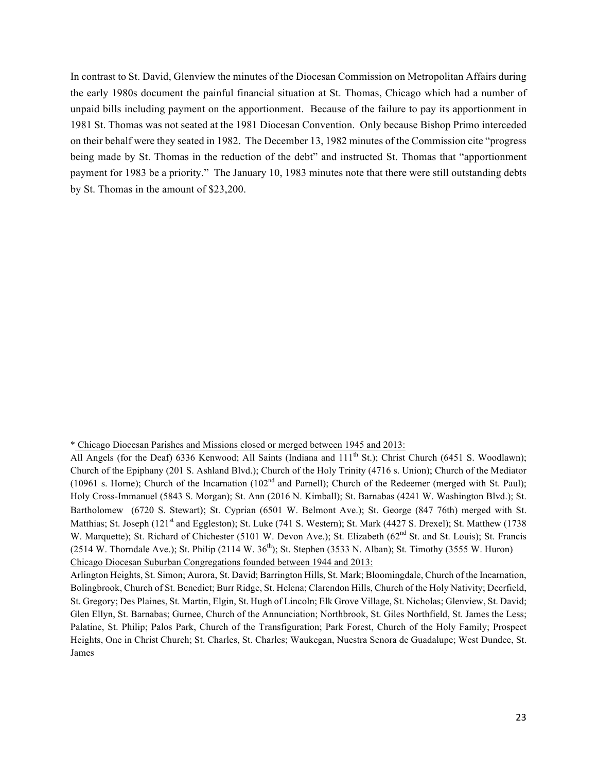In contrast to St. David, Glenview the minutes of the Diocesan Commission on Metropolitan Affairs during the early 1980s document the painful financial situation at St. Thomas, Chicago which had a number of unpaid bills including payment on the apportionment. Because of the failure to pay its apportionment in 1981 St. Thomas was not seated at the 1981 Diocesan Convention. Only because Bishop Primo interceded on their behalf were they seated in 1982. The December 13, 1982 minutes of the Commission cite "progress being made by St. Thomas in the reduction of the debt" and instructed St. Thomas that "apportionment payment for 1983 be a priority." The January 10, 1983 minutes note that there were still outstanding debts by St. Thomas in the amount of \$23,200.

<sup>\*</sup> Chicago Diocesan Parishes and Missions closed or merged between 1945 and 2013:

All Angels (for the Deaf) 6336 Kenwood; All Saints (Indiana and 111<sup>th</sup> St.); Christ Church (6451 S. Woodlawn); Church of the Epiphany (201 S. Ashland Blvd.); Church of the Holy Trinity (4716 s. Union); Church of the Mediator (10961 s. Horne); Church of the Incarnation (102<sup>nd</sup> and Parnell); Church of the Redeemer (merged with St. Paul); Holy Cross-Immanuel (5843 S. Morgan); St. Ann (2016 N. Kimball); St. Barnabas (4241 W. Washington Blvd.); St. Bartholomew (6720 S. Stewart); St. Cyprian (6501 W. Belmont Ave.); St. George (847 76th) merged with St. Matthias; St. Joseph (121<sup>st</sup> and Eggleston); St. Luke (741 S. Western); St. Mark (4427 S. Drexel); St. Matthew (1738 W. Marquette); St. Richard of Chichester (5101 W. Devon Ave.); St. Elizabeth (62<sup>nd</sup> St. and St. Louis); St. Francis (2514 W. Thorndale Ave.); St. Philip (2114 W.  $36<sup>th</sup>$ ); St. Stephen (3533 N. Alban); St. Timothy (3555 W. Huron) Chicago Diocesan Suburban Congregations founded between 1944 and 2013:

Arlington Heights, St. Simon; Aurora, St. David; Barrington Hills, St. Mark; Bloomingdale, Church of the Incarnation, Bolingbrook, Church of St. Benedict; Burr Ridge, St. Helena; Clarendon Hills, Church of the Holy Nativity; Deerfield, St. Gregory; Des Plaines, St. Martin, Elgin, St. Hugh of Lincoln; Elk Grove Village, St. Nicholas; Glenview, St. David; Glen Ellyn, St. Barnabas; Gurnee, Church of the Annunciation; Northbrook, St. Giles Northfield, St. James the Less; Palatine, St. Philip; Palos Park, Church of the Transfiguration; Park Forest, Church of the Holy Family; Prospect Heights, One in Christ Church; St. Charles, St. Charles; Waukegan, Nuestra Senora de Guadalupe; West Dundee, St. James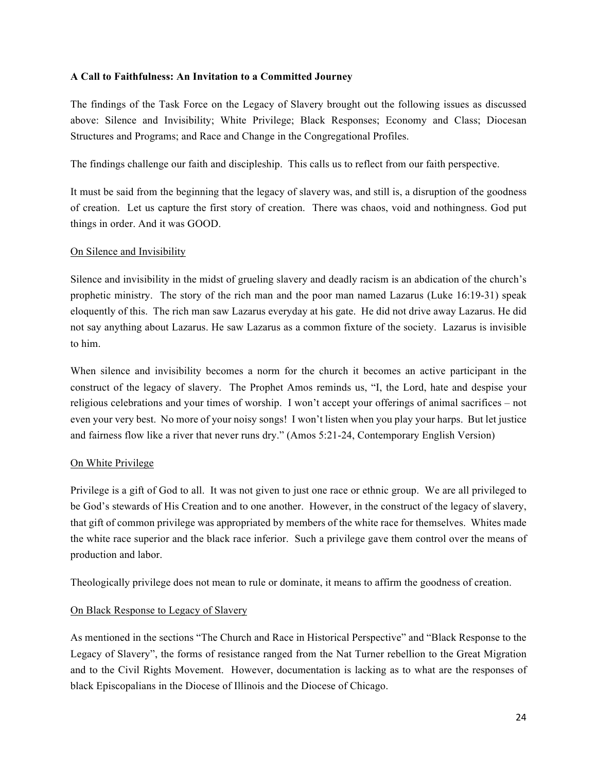## **A Call to Faithfulness: An Invitation to a Committed Journey**

The findings of the Task Force on the Legacy of Slavery brought out the following issues as discussed above: Silence and Invisibility; White Privilege; Black Responses; Economy and Class; Diocesan Structures and Programs; and Race and Change in the Congregational Profiles.

The findings challenge our faith and discipleship. This calls us to reflect from our faith perspective.

It must be said from the beginning that the legacy of slavery was, and still is, a disruption of the goodness of creation. Let us capture the first story of creation. There was chaos, void and nothingness. God put things in order. And it was GOOD.

## On Silence and Invisibility

Silence and invisibility in the midst of grueling slavery and deadly racism is an abdication of the church's prophetic ministry. The story of the rich man and the poor man named Lazarus (Luke 16:19-31) speak eloquently of this. The rich man saw Lazarus everyday at his gate. He did not drive away Lazarus. He did not say anything about Lazarus. He saw Lazarus as a common fixture of the society. Lazarus is invisible to him.

When silence and invisibility becomes a norm for the church it becomes an active participant in the construct of the legacy of slavery. The Prophet Amos reminds us, "I, the Lord, hate and despise your religious celebrations and your times of worship. I won't accept your offerings of animal sacrifices – not even your very best. No more of your noisy songs! I won't listen when you play your harps. But let justice and fairness flow like a river that never runs dry." (Amos 5:21-24, Contemporary English Version)

# On White Privilege

Privilege is a gift of God to all. It was not given to just one race or ethnic group. We are all privileged to be God's stewards of His Creation and to one another. However, in the construct of the legacy of slavery, that gift of common privilege was appropriated by members of the white race for themselves. Whites made the white race superior and the black race inferior. Such a privilege gave them control over the means of production and labor.

Theologically privilege does not mean to rule or dominate, it means to affirm the goodness of creation.

# On Black Response to Legacy of Slavery

As mentioned in the sections "The Church and Race in Historical Perspective" and "Black Response to the Legacy of Slavery", the forms of resistance ranged from the Nat Turner rebellion to the Great Migration and to the Civil Rights Movement. However, documentation is lacking as to what are the responses of black Episcopalians in the Diocese of Illinois and the Diocese of Chicago.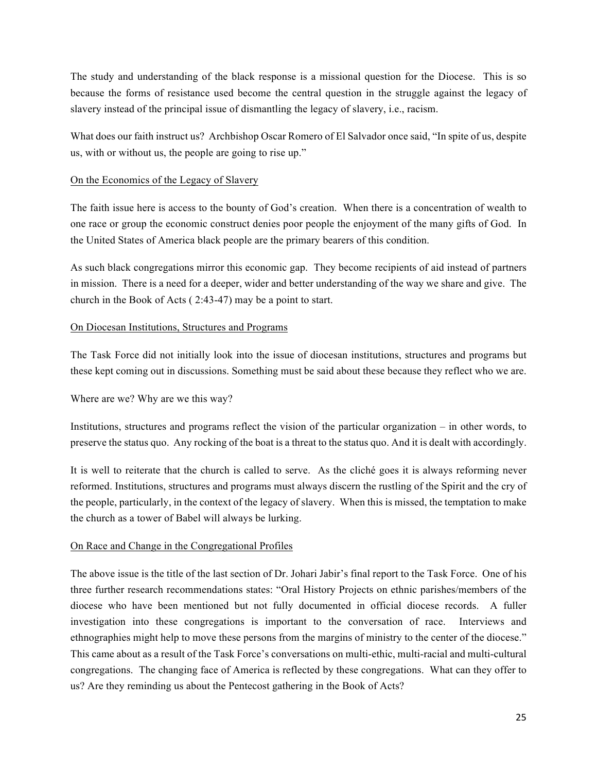The study and understanding of the black response is a missional question for the Diocese. This is so because the forms of resistance used become the central question in the struggle against the legacy of slavery instead of the principal issue of dismantling the legacy of slavery, i.e., racism.

What does our faith instruct us? Archbishop Oscar Romero of El Salvador once said, "In spite of us, despite us, with or without us, the people are going to rise up."

# On the Economics of the Legacy of Slavery

The faith issue here is access to the bounty of God's creation. When there is a concentration of wealth to one race or group the economic construct denies poor people the enjoyment of the many gifts of God. In the United States of America black people are the primary bearers of this condition.

As such black congregations mirror this economic gap. They become recipients of aid instead of partners in mission. There is a need for a deeper, wider and better understanding of the way we share and give. The church in the Book of Acts ( 2:43-47) may be a point to start.

# On Diocesan Institutions, Structures and Programs

The Task Force did not initially look into the issue of diocesan institutions, structures and programs but these kept coming out in discussions. Something must be said about these because they reflect who we are.

# Where are we? Why are we this way?

Institutions, structures and programs reflect the vision of the particular organization – in other words, to preserve the status quo. Any rocking of the boat is a threat to the status quo. And it is dealt with accordingly.

It is well to reiterate that the church is called to serve. As the cliché goes it is always reforming never reformed. Institutions, structures and programs must always discern the rustling of the Spirit and the cry of the people, particularly, in the context of the legacy of slavery. When this is missed, the temptation to make the church as a tower of Babel will always be lurking.

# On Race and Change in the Congregational Profiles

The above issue is the title of the last section of Dr. Johari Jabir's final report to the Task Force. One of his three further research recommendations states: "Oral History Projects on ethnic parishes/members of the diocese who have been mentioned but not fully documented in official diocese records. A fuller investigation into these congregations is important to the conversation of race. Interviews and ethnographies might help to move these persons from the margins of ministry to the center of the diocese." This came about as a result of the Task Force's conversations on multi-ethic, multi-racial and multi-cultural congregations. The changing face of America is reflected by these congregations. What can they offer to us? Are they reminding us about the Pentecost gathering in the Book of Acts?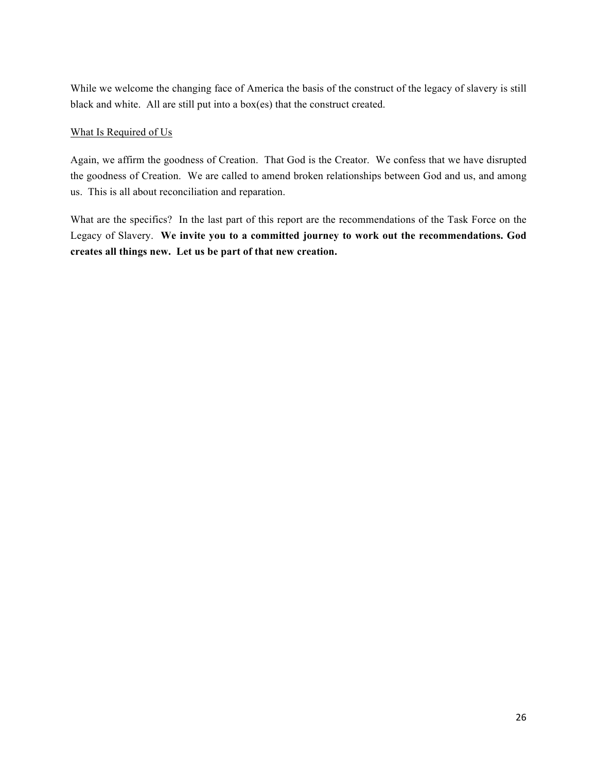While we welcome the changing face of America the basis of the construct of the legacy of slavery is still black and white. All are still put into a box(es) that the construct created.

# What Is Required of Us

Again, we affirm the goodness of Creation. That God is the Creator. We confess that we have disrupted the goodness of Creation. We are called to amend broken relationships between God and us, and among us. This is all about reconciliation and reparation.

What are the specifics? In the last part of this report are the recommendations of the Task Force on the Legacy of Slavery. **We invite you to a committed journey to work out the recommendations. God creates all things new. Let us be part of that new creation.**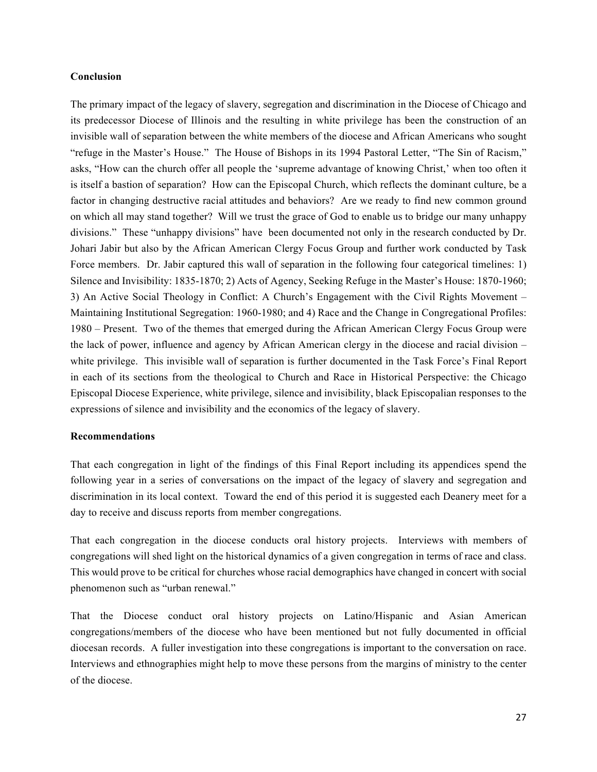## **Conclusion**

The primary impact of the legacy of slavery, segregation and discrimination in the Diocese of Chicago and its predecessor Diocese of Illinois and the resulting in white privilege has been the construction of an invisible wall of separation between the white members of the diocese and African Americans who sought "refuge in the Master's House." The House of Bishops in its 1994 Pastoral Letter, "The Sin of Racism," asks, "How can the church offer all people the 'supreme advantage of knowing Christ,' when too often it is itself a bastion of separation? How can the Episcopal Church, which reflects the dominant culture, be a factor in changing destructive racial attitudes and behaviors? Are we ready to find new common ground on which all may stand together? Will we trust the grace of God to enable us to bridge our many unhappy divisions." These "unhappy divisions" have been documented not only in the research conducted by Dr. Johari Jabir but also by the African American Clergy Focus Group and further work conducted by Task Force members. Dr. Jabir captured this wall of separation in the following four categorical timelines: 1) Silence and Invisibility: 1835-1870; 2) Acts of Agency, Seeking Refuge in the Master's House: 1870-1960; 3) An Active Social Theology in Conflict: A Church's Engagement with the Civil Rights Movement – Maintaining Institutional Segregation: 1960-1980; and 4) Race and the Change in Congregational Profiles: 1980 – Present. Two of the themes that emerged during the African American Clergy Focus Group were the lack of power, influence and agency by African American clergy in the diocese and racial division – white privilege. This invisible wall of separation is further documented in the Task Force's Final Report in each of its sections from the theological to Church and Race in Historical Perspective: the Chicago Episcopal Diocese Experience, white privilege, silence and invisibility, black Episcopalian responses to the expressions of silence and invisibility and the economics of the legacy of slavery.

## **Recommendations**

That each congregation in light of the findings of this Final Report including its appendices spend the following year in a series of conversations on the impact of the legacy of slavery and segregation and discrimination in its local context. Toward the end of this period it is suggested each Deanery meet for a day to receive and discuss reports from member congregations.

That each congregation in the diocese conducts oral history projects. Interviews with members of congregations will shed light on the historical dynamics of a given congregation in terms of race and class. This would prove to be critical for churches whose racial demographics have changed in concert with social phenomenon such as "urban renewal."

That the Diocese conduct oral history projects on Latino/Hispanic and Asian American congregations/members of the diocese who have been mentioned but not fully documented in official diocesan records. A fuller investigation into these congregations is important to the conversation on race. Interviews and ethnographies might help to move these persons from the margins of ministry to the center of the diocese.